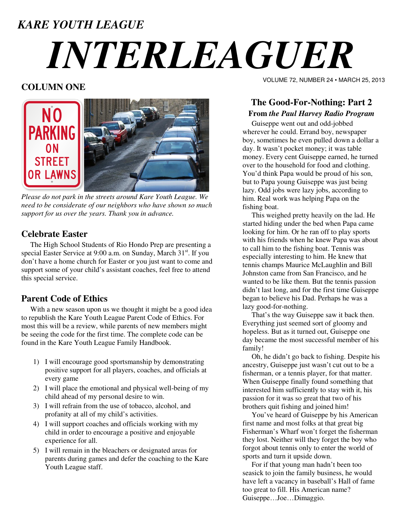### *KARE YOUTH LEAGUE*

# *INTERLEAGUER*

#### **COLUMN ONE**



*Please do not park in the streets around Kare Youth League. We need to be considerate of our neighbors who have shown so much support for us over the years. Thank you in advance.* 

#### **Celebrate Easter**

 The High School Students of Rio Hondo Prep are presenting a special Easter Service at 9:00 a.m. on Sunday, March 31<sup>st</sup>. If you don't have a home church for Easter or you just want to come and support some of your child's assistant coaches, feel free to attend this special service.

#### **Parent Code of Ethics**

 With a new season upon us we thought it might be a good idea to republish the Kare Youth League Parent Code of Ethics. For most this will be a review, while parents of new members might be seeing the code for the first time. The complete code can be found in the Kare Youth League Family Handbook.

- 1) I will encourage good sportsmanship by demonstrating positive support for all players, coaches, and officials at every game
- 2) I will place the emotional and physical well-being of my child ahead of my personal desire to win.
- 3) I will refrain from the use of tobacco, alcohol, and profanity at all of my child's activities.
- 4) I will support coaches and officials working with my child in order to encourage a positive and enjoyable experience for all.
- 5) I will remain in the bleachers or designated areas for parents during games and defer the coaching to the Kare Youth League staff.

VOLUME 72, NUMBER 24 • MARCH 25, 2013

#### **The Good-For-Nothing: Part 2 From** *the Paul Harvey Radio Program*

 Guiseppe went out and odd-jobbed wherever he could. Errand boy, newspaper boy, sometimes he even pulled down a dollar a day. It wasn't pocket money; it was table money. Every cent Guiseppe earned, he turned over to the household for food and clothing. You'd think Papa would be proud of his son, but to Papa young Guiseppe was just being lazy. Odd jobs were lazy jobs, according to him. Real work was helping Papa on the fishing boat.

 This weighed pretty heavily on the lad. He started hiding under the bed when Papa came looking for him. Or he ran off to play sports with his friends when he knew Papa was about to call him to the fishing boat. Tennis was especially interesting to him. He knew that tennis champs Maurice McLaughlin and Bill Johnston came from San Francisco, and he wanted to be like them. But the tennis passion didn't last long, and for the first time Guiseppe began to believe his Dad. Perhaps he was a lazy good-for-nothing.

 That's the way Guiseppe saw it back then. Everything just seemed sort of gloomy and hopeless. But as it turned out, Guiseppe one day became the most successful member of his family!

 Oh, he didn't go back to fishing. Despite his ancestry, Guiseppe just wasn't cut out to be a fisherman, or a tennis player, for that matter. When Guiseppe finally found something that interested him sufficiently to stay with it, his passion for it was so great that two of his brothers quit fishing and joined him!

 You've heard of Guiseppe by his American first name and most folks at that great big Fisherman's Wharf won't forget the fisherman they lost. Neither will they forget the boy who forgot about tennis only to enter the world of sports and turn it upside down.

 For if that young man hadn't been too seasick to join the family business, he would have left a vacancy in baseball's Hall of fame too great to fill. His American name? Guiseppe…Joe…Dimaggio.